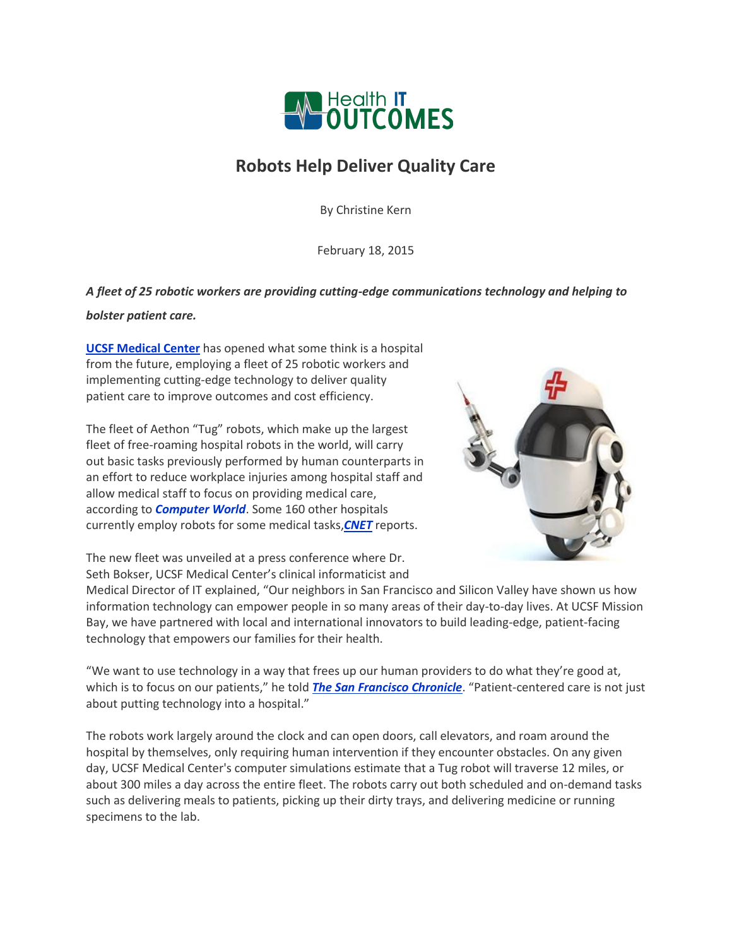

## **Robots Help Deliver Quality Care**

By Christine Kern

February 18, 2015

## *A fleet of 25 robotic workers are providing cutting-edge communications technology and helping to*

## *bolster patient care.*

**[UCSF Medical Center](http://www.ucsfmissionbayhospitals.org/)** has opened what some think is a hospital from the future, employing a fleet of 25 robotic workers and implementing cutting-edge technology to deliver quality patient care to improve outcomes and cost efficiency.

The fleet of Aethon "Tug" robots, which make up the largest fleet of free-roaming hospital robots in the world, will carry out basic tasks previously performed by human counterparts in an effort to reduce workplace injuries among hospital staff and allow medical staff to focus on providing medical care, according to *[Computer World](http://www.computerworld.com/article/2877284/at-ucsf-medical-center-robot-aided-healthcare-is-here.html)*. Some 160 other hospitals currently employ robots for some medical tasks,*[CNET](http://www.cnet.com/news/robots-give-a-helping-hand-in-san-franciscos-newest-hospital/)* reports.



The new fleet was unveiled at a press conference where Dr. Seth Bokser, UCSF Medical Center's clinical informaticist and

Medical Director of IT explained, "Our neighbors in San Francisco and Silicon Valley have shown us how information technology can empower people in so many areas of their day-to-day lives. At UCSF Mission Bay, we have partnered with local and international innovators to build leading-edge, patient-facing technology that empowers our families for their health.

"We want to use technology in a way that frees up our human providers to do what they're good at, which is to focus on our patients," he told *[The San Francisco Chronicle](http://www.sfchronicle.com/health/article/Robots-and-other-tech-on-display-at-new-UCSF-6049757.php#/0)*. "Patient-centered care is not just about putting technology into a hospital."

The robots work largely around the clock and can open doors, call elevators, and roam around the hospital by themselves, only requiring human intervention if they encounter obstacles. On any given day, UCSF Medical Center's computer simulations estimate that a Tug robot will traverse 12 miles, or about 300 miles a day across the entire fleet. The robots carry out both scheduled and on-demand tasks such as delivering meals to patients, picking up their dirty trays, and delivering medicine or running specimens to the lab.